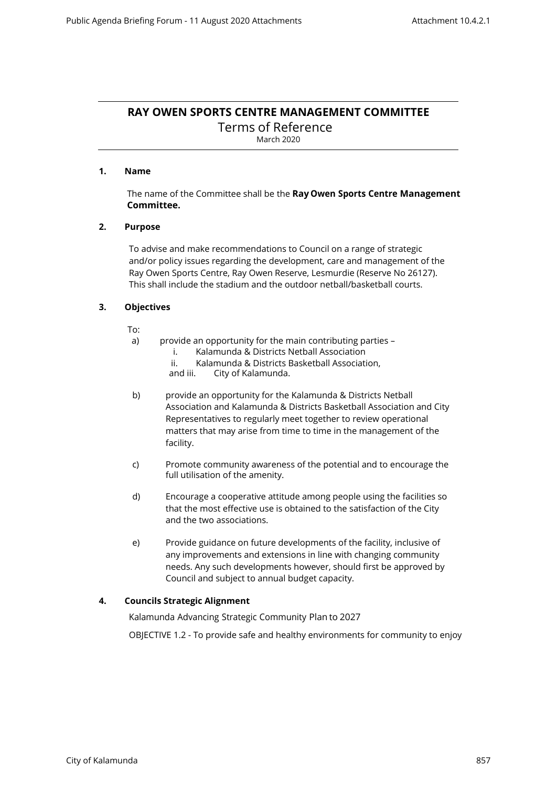# **RAY OWEN SPORTS CENTRE MANAGEMENT COMMITTEE**

Terms of Reference March 2020

# **1. Name**

The name of the Committee shall be the **Ray Owen Sports Centre Management Committee.**

# **2. Purpose**

To advise and make recommendations to Council on a range of strategic and/or policy issues regarding the development, care and management of the Ray Owen Sports Centre, Ray Owen Reserve, Lesmurdie (Reserve No 26127). This shall include the stadium and the outdoor netball/basketball courts.

# **3. Objectives**

To:

- a) provide an opportunity for the main contributing parties
	- i. Kalamunda & Districts Netball Association
	- ii. Kalamunda & Districts Basketball Association, and iii. City of Kalamunda.
	- City of Kalamunda.
- b) provide an opportunity for the Kalamunda & Districts Netball Association and Kalamunda & Districts Basketball Association and City Representatives to regularly meet together to review operational matters that may arise from time to time in the management of the facility.
- c) Promote community awareness of the potential and to encourage the full utilisation of the amenity.
- d) Encourage a cooperative attitude among people using the facilities so that the most effective use is obtained to the satisfaction of the City and the two associations.
- e) Provide guidance on future developments of the facility, inclusive of any improvements and extensions in line with changing community needs. Any such developments however, should first be approved by Council and subject to annual budget capacity.

# **4. Councils Strategic Alignment**

Kalamunda Advancing Strategic Community Plan to 2027

OBJECTIVE 1.2 - To provide safe and healthy environments for community to enjoy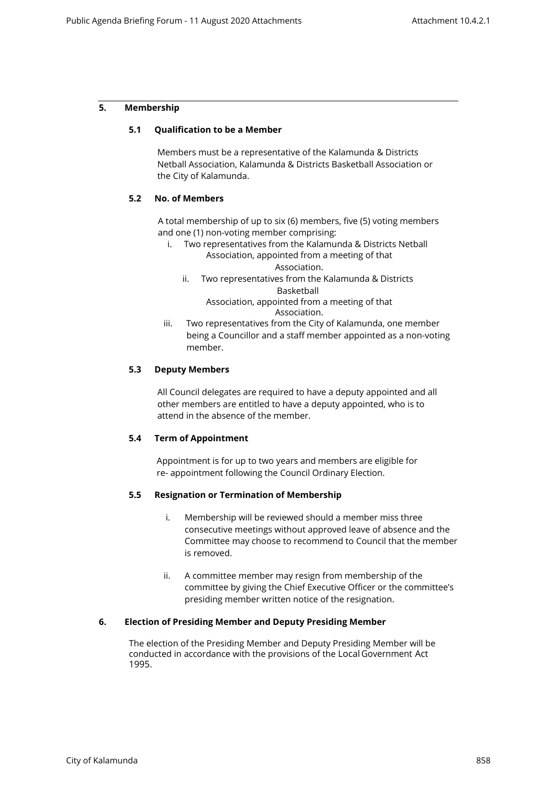## **5. Membership**

### **5.1 Qualification to be a Member**

Members must be a representative of the Kalamunda & Districts Netball Association, Kalamunda & Districts Basketball Association or the City of Kalamunda.

### **5.2 No. of Members**

A total membership of up to six (6) members, five (5) voting members and one (1) non-voting member comprising:

- i. Two representatives from the Kalamunda & Districts Netball Association, appointed from a meeting of that Association.
	- ii. Two representatives from the Kalamunda & Districts Basketball

Association, appointed from a meeting of that Association.

iii. Two representatives from the City of Kalamunda, one member being a Councillor and a staff member appointed as a non-voting member.

### **5.3 Deputy Members**

All Council delegates are required to have a deputy appointed and all other members are entitled to have a deputy appointed, who is to attend in the absence of the member.

### **5.4 Term of Appointment**

Appointment is for up to two years and members are eligible for re- appointment following the Council Ordinary Election.

### **5.5 Resignation or Termination of Membership**

- i. Membership will be reviewed should a member miss three consecutive meetings without approved leave of absence and the Committee may choose to recommend to Council that the member is removed.
- ii. A committee member may resign from membership of the committee by giving the Chief Executive Officer or the committee's presiding member written notice of the resignation.

## **6. Election of Presiding Member and Deputy Presiding Member**

The election of the Presiding Member and Deputy Presiding Member will be conducted in accordance with the provisions of the Local Government Act 1995.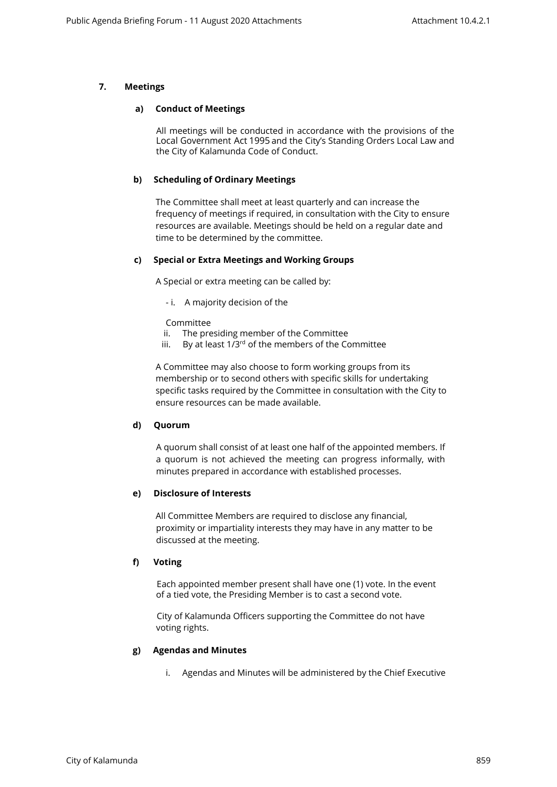# **7. Meetings**

#### **a) Conduct of Meetings**

All meetings will be conducted in accordance with the provisions of the Local Government Act 1995 and the City's Standing Orders Local Law and the City of Kalamunda Code of Conduct.

## **b) Scheduling of Ordinary Meetings**

The Committee shall meet at least quarterly and can increase the frequency of meetings if required, in consultation with the City to ensure resources are available. Meetings should be held on a regular date and time to be determined by the committee.

### **c) Special or Extra Meetings and Working Groups**

A Special or extra meeting can be called by:

- i. A majority decision of the

Committee

- ii. The presiding member of the Committee
- iii. By at least  $1/3^{rd}$  of the members of the Committee

A Committee may also choose to form working groups from its membership or to second others with specific skills for undertaking specific tasks required by the Committee in consultation with the City to ensure resources can be made available.

## **d) Quorum**

A quorum shall consist of at least one half of the appointed members. If a quorum is not achieved the meeting can progress informally, with minutes prepared in accordance with established processes.

# **e) Disclosure of Interests**

All Committee Members are required to disclose any financial, proximity or impartiality interests they may have in any matter to be discussed at the meeting.

## **f) Voting**

Each appointed member present shall have one (1) vote. In the event of a tied vote, the Presiding Member is to cast a second vote.

City of Kalamunda Officers supporting the Committee do not have voting rights.

### **g) Agendas and Minutes**

i. Agendas and Minutes will be administered by the Chief Executive